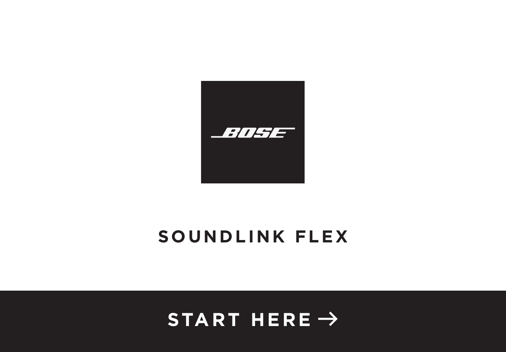

# **SOUNDLINK FLEX**

# **START HERE** $\rightarrow$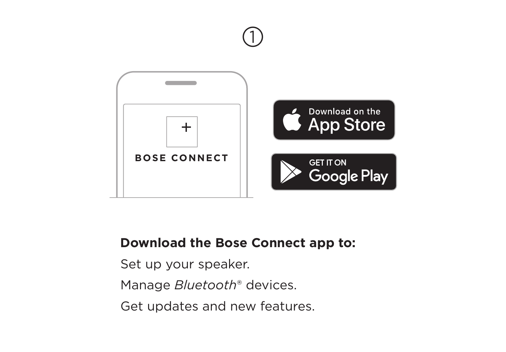

 $\bigcirc$ 

# **Download the Bose Connect app to:**

Set up your speaker.

Manage *Bluetooth*® devices.

Get updates and new features.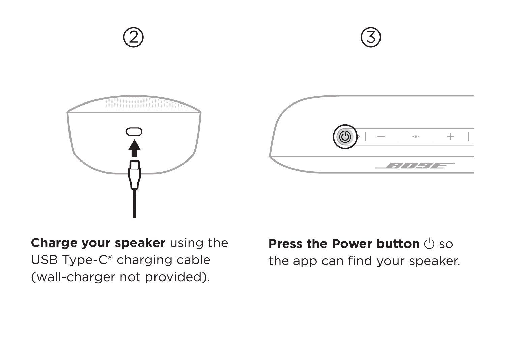

**Charge your speaker** using the USB Type-C® charging cable (wall-charger not provided).

**Press the Power button** (<sup>I</sup>) so the app can find your speaker.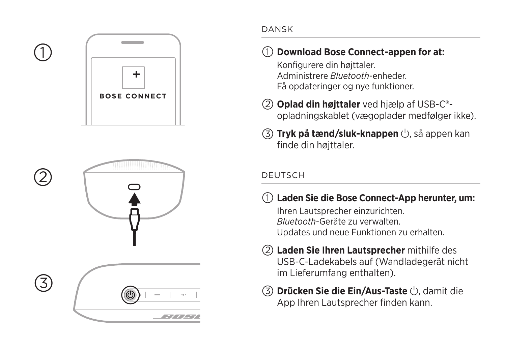

 $\overline{a}$  abcording  $\overline{a}$ 

2

(3)



#### DANSK

## a **Download Bose Connect-appen for at:**

Konfigurere din højttaler. Administrere *Bluetooth*-enheder. Få opdateringer og nye funktioner.

- b **Oplad din højttaler** ved hjælp af USB-C® opladningskablet (vægoplader medfølger ikke).
- c **Tryk på tænd/sluk-knappen**  I, så appen kan finde din højttaler.

### DEUTSCH

Laden Sie die Bose Connect-App herunter, um:

Ihren Lautsprecher einzurichten. *Bluetooth*-Geräte zu verwalten. Updates und neue Funktionen zu erhalten.

- b **Laden Sie Ihren Lautsprecher** mithilfe des USB-C-Ladekabels auf (Wandladegerät nicht im Lieferumfang enthalten).
- c **Drücken Sie die Ein/Aus-Taste**  I, damit die App Ihren Lautsprecher finden kann.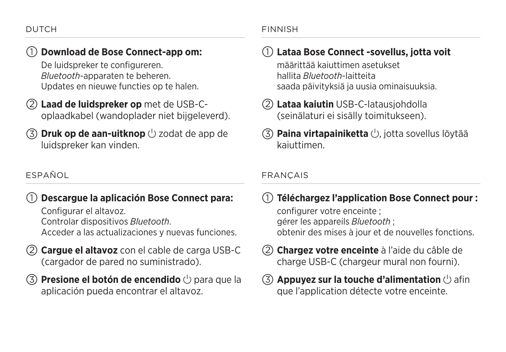### a **Download de Bose Connect-app om:**

De luidspreker te configureren. *Bluetooth*-apparaten te beheren. Updates en nieuwe functies op te halen.

- b **Laad de luidspreker op** met de USB-Coplaadkabel (wandoplader niet bijgeleverd).
- **(3) Druk op de aan-uitknop** (<sup>1</sup>) zodat de app de luidspreker kan vinden.

### ESPAÑOL

### a **Descargue la aplicación Bose Connect para:**

Configurar el altavoz. Controlar dispositivos *Bluetooth*. Acceder a las actualizaciones y nuevas funciones.

- b **Cargue el altavoz** con el cable de carga USB-C (cargador de pared no suministrado).
- **(3) Presione el botón de encendido**  $\cup$  para que la aplicación pueda encontrar el altavoz.

#### FINNISH

### a **Lataa Bose Connect -sovellus, jotta voit**

määrittää kaiuttimen asetukset hallita *Bluetooth*-laitteita saada päivityksiä ja uusia ominaisuuksia.

- b **Lataa kaiutin** USB-C-latausjohdolla (seinälaturi ei sisälly toimitukseen).
- **(3) Paina virtapainiketta** (<sup>I</sup>), jotta sovellus löytää kaiuttimen.

#### FRANÇAIS

a **Téléchargez l'application Bose Connect pour :** 

configurer votre enceinte ; gérer les appareils *Bluetooth* ; obtenir des mises à jour et de nouvelles fonctions.

- b **Chargez votre enceinte** à l'aide du câble de charge USB-C (chargeur mural non fourni).
- **(3) Appuyez sur la touche d'alimentation**  $\cup$  afin que l'application détecte votre enceinte.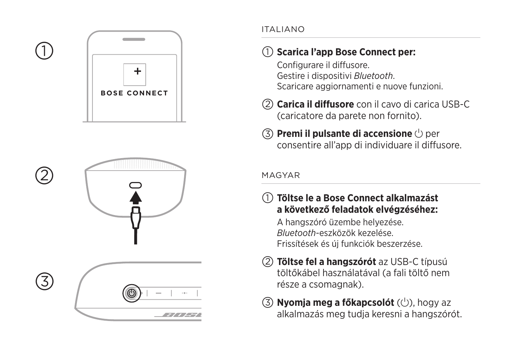



 $\overline{a}$  abcording  $\overline{a}$ 

(3)



### ITALIANO

# a **Scarica l'app Bose Connect per:**

Configurare il diffusore. Gestire i dispositivi *Bluetooth* . Scaricare aggiornamenti e nuove funzioni.

- b **Carica il diffusore** con il cavo di carica USB-C (caricatore da parete non fornito).
- **3 Premi il pulsante di accensione**  $\circlearrowright$  per consentire all'app di individuare il diffusore.

#### MAGYAR

- a **Töltse le a Bose Connect alkalmazást a következő feladatok elvégzéséhez:**  A hangszóró üzembe helyezése. *Bluetooth*-eszközök kezelése. Frissítések és új funkciók beszerzése.
- b **Töltse fel a hangszórót** az USB-C típusú töltőkábel használatával (a fali töltő nem része a csomagnak).
- $\circled{3}$  Nyomja meg a főkapcsolót ( $\circlearrowright$ ), hogy az alkalmazás meg tudja keresni a hangszórót.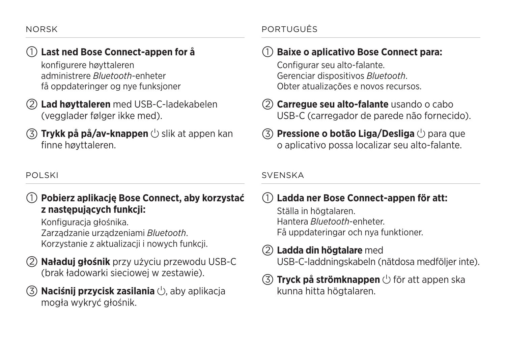## a **Last ned Bose Connect-appen for å**

konfigurere høyttaleren administrere *Bluetooth*-enheter få oppdateringer og nye funksjoner

- b **Lad høyttaleren** med USB-C-ladekabelen (vegglader følger ikke med).
- **(3) Trykk på på/av-knappen**  $\cup$  slik at appen kan finne høyttaleren.

### POLSKI

### a **Pobierz aplikację Bose Connect, aby korzystać z następujących funkcji:**

Konfiguracja głośnika. Zarządzanie urządzeniami *Bluetooth*. Korzystanie z aktualizacji i nowych funkcji.

- b **Naładuj głośnik** przy użyciu przewodu USB-C (brak ładowarki sieciowej w zestawie).
- **Naciśnij przycisk zasilania** (b, aby aplikacja mogła wykryć głośnik.

### PORTUGUÊS

## a **Baixe o aplicativo Bose Connect para:**

Configurar seu alto-falante. Gerenciar dispositivos *Bluetooth*. Obter atualizações e novos recursos.

- b **Carregue seu alto-falante** usando o cabo USB-C (carregador de parede não fornecido).
- **(3) Pressione o botão Liga/Desliga**  $\bigcirc$  para que o aplicativo possa localizar seu alto-falante.

#### **SVENSKA**

## a **Ladda ner Bose Connect-appen för att:**

Ställa in högtalaren. Hantera *Bluetooth*-enheter. Få uppdateringar och nya funktioner.

### b **Ladda din högtalare** med USB-C-laddningskabeln (nätdosa medföljer inte).

### **(3) Tryck på strömknappen**  $\cup$  för att appen ska kunna hitta högtalaren.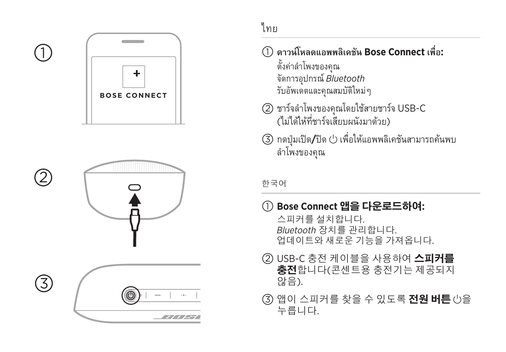

2

③





ไทย

- $\bigcirc$  ดาวน์โหลดแอพพลิเคชัน Bose Connect เพื่อ: ตั้งค่าลำโพงของคุณ จััดการ อุุปกร ณ์์*Bluetooth* รับอัพเดตและคุณสมบัติใหม่ๆ
- (2) ชาร์จลำโพงของคุณโดยใช้สายชาร์จ USB-C (ไม่ได้ให้ที่ชาร์จเสียบผนังมาด้วย)
- (3) กดปุ่มเปิด**/**ปิด  $\cup$  เพื่อให้แอพพลิเคชันสามารถค้นพบ ลำำ โพงของ คุุณ

한국어

a **Bose Connect** 앱을 다운로드하여**:** 

스피커를 설치합니다 . Bluetooth 장치를 관리합니다 . 업데이트와 새로운 기능을 가져옵니다 .

- (2) USB-C 충전 케이블을 사용하여 스피커를 **충전**합니다(콘센트용 충전기는 제공되지 않음).
- 3 앱이 스피커를 찾을 수 있도록 전원 버튼 ①을 누릅니다 .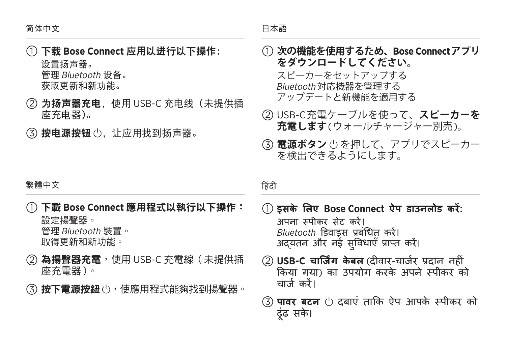a下载 **Bose Connect** 应用以进行以下操作: 设置扬声器。

管理Bluetooth 设备。 获取更新和新功能。

- b 为扬声器充电,使用 USB-C 充电线(未提供插 座充电器)。
- (3) 按电源按钮 (5) 让应用找到扬声器。
- a **次の機能を使用するため、Bose Connectアプリ をダウンロードしてください。** スピーカーをセットアップする Bluetooth 対応機器を管理する アップデートと新機能を適用する
- b USB-C充電ケーブルを使って、**スピーカーを 充電します**(ウォールチャージャー別売)。
- c **電源ボタン** I を押して、アプリでスピーカー を検出できるようにします。

繁體中文

- a下載 **Bose Connect** 應用程式以執行以下操作: 設定揚聲器。 管理Bluetooth 裝置。 取得更新和新功能。
- ② 為揚聲器充電,使用 USB-C 充電線 (未提供插 座充電器)。
- (3) 按下電源按鈕 (b, 使應用程式能夠找到揚聲器。

#### हिंदी

- a **इसके लिए Bose Connect ऐप डाउनलोड करें:** अपना स्पीकर सेट करें। *Bluetooth* डिवाइस प्रबंधित करें। अद्यतन और नई सुविधाएँ प्राप्त करें।
- b **USB-C चार्जिंग के बल** (दीवार-चार्जर प्रदान नहीं किया गया) का उपयोग करके अपने स्पीकर को चार्ज करें।
- (3) **पावर बटन** (<sup>1</sup>) दबाएं ताकि ऐप आपके स्पीकर को ढूंढ सके ।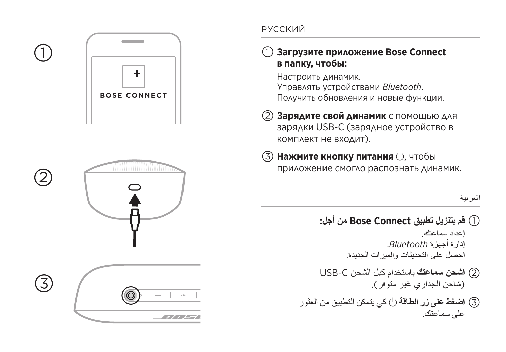



2

 $\circled{3}$ 



### РУССКИЙ

### a **Загрузите приложение Bose Connect в папку, чтобы:**

Настроить динамик. Управлять устройствами *Bluetooth* . Получить обновления и новые функции.

- b **Зарядите свой динамик** с помощью для зарядки USB-C (зарядное устройство в комплект не входит).
- **3 Нажмите кнопку питания**  $\cup$ , чтобы приложение смогло распознать динамик.

العربية

- **قم بتنزيل تطبيق Connect Bose من أجل:** a إعداد سماعتك. إدارة أجهزة *Bluetooth*. احصل على التحديثات والميزات الجديدة. **اشحن سماعتك** باستخدام كبل الشحن C-USB b (شاحن الجداري غير متوفر).
- كي يتمكن التطبيق من العثور **اضغط على زر الطاقة** I c على سماعتك.